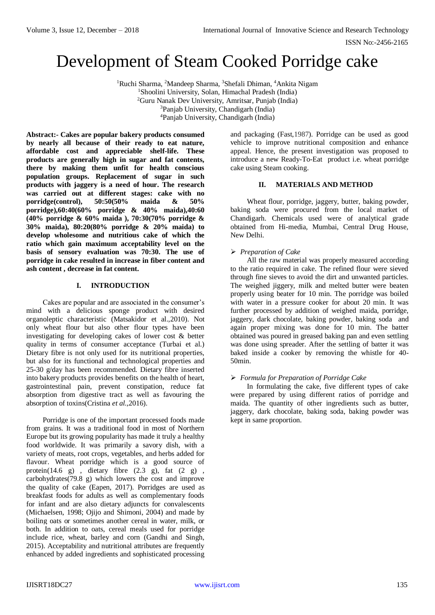ISSN No:-2456-2165

# Development of Steam Cooked Porridge cake

<sup>1</sup>Ruchi Sharma, <sup>2</sup>Mandeep Sharma, <sup>3</sup>Shefali Dhiman, <sup>4</sup>Ankita Nigam Shoolini University, Solan, Himachal Pradesh (India) Guru Nanak Dev University, Amritsar, Punjab (India) Panjab University, Chandigarh (India) Panjab University, Chandigarh (India)

**Abstract:- Cakes are popular bakery products consumed by nearly all because of their ready to eat nature, affordable cost and appreciable shelf-life. These products are generally high in sugar and fat contents, there by making them unfit for health conscious population groups. Replacement of sugar in such products with jaggery is a need of hour. The research was carried out at different stages: cake with no porridge(control), 50:50(50% maida & 50% porridge),60:40(60% porridge & 40% maida),40:60 (40% porridge & 60% maida ), 70:30(70% porridge & 30% maida), 80:20(80% porridge & 20% maida) to develop wholesome and nutritious cake of which the ratio which gain maximum acceptability level on the basis of sensory evaluation was 70:30. The use of porridge in cake resulted in increase in fiber content and ash content , decrease in fat content.**

# **I. INTRODUCTION**

Cakes are popular and are associated in the consumer's mind with a delicious sponge product with desired organoleptic characteristic (Matsakidor et al.,2010). Not only wheat flour but also other flour types have been investigating for developing cakes of lower cost & better quality in terms of consumer acceptance (Turbai et al.) Dietary fibre is not only used for its nutritional properties, but also for its functional and technological properties and 25-30 g/day has been recommended. Dietary fibre inserted into bakery products provides benefits on the health of heart, gastrointestinal pain, prevent constipation, reduce fat absorption from digestive tract as well as favouring the absorption of toxins(Cristina *et al.,*2016).

Porridge is one of the important processed foods made from grains. It was a traditional food in most of Northern Europe but its growing popularity has made it truly a healthy food worldwide. It was primarily a savory dish, with a variety of meats, root crops, vegetables, and herbs added for flavour. Wheat porridge which is a good source of protein(14.6 g), dietary fibre  $(2.3 \text{ g})$ , fat  $(2 \text{ g})$ , carbohydrates(79.8 g) which lowers the cost and improve the quality of cake (Eapen, 2017). Porridges are used as breakfast foods for adults as well as complementary foods for infant and are also dietary adjuncts for convalescents (Michaelsen, 1998; Ojijo and Shimoni, 2004) and made by boiling oats or sometimes another cereal in water, milk, or both. In addition to oats, cereal meals used for porridge include rice, wheat, barley and corn (Gandhi and Singh, 2015). Acceptability and nutritional attributes are frequently enhanced by added ingredients and sophisticated processing

and packaging (Fas[t,1987\)](https://www.ncbi.nlm.nih.gov/pmc/articles/PMC4397286/#CR12). Porridge can be used as good vehicle to improve nutritional composition and enhance appeal. Hence, the present investigation was proposed to introduce a new Ready-To-Eat product i.e. wheat porridge cake using Steam cooking.

# **II. MATERIALS AND METHOD**

Wheat flour, porridge, jaggery, butter, baking powder, baking soda were procured from the local market of Chandigarh. Chemicals used were of analytical grade obtained from Hi-media, Mumbai, Central Drug House, New Delhi.

## *Preparation of Cake*

All the raw material was properly measured according to the ratio required in cake. The refined flour were sieved through fine sieves to avoid the dirt and unwanted particles. The weighed jiggery, milk and melted butter were beaten properly using beater for 10 min. The porridge was boiled with water in a pressure cooker for about 20 min. It was further processed by addition of weighed maida, porridge, jaggery, dark chocolate, baking powder, baking soda and again proper mixing was done for 10 min. The batter obtained was poured in greased baking pan and even settling was done using spreader. After the settling of batter it was baked inside a cooker by removing the whistle for 40- 50min.

# *Formula for Preparation of Porridge Cake*

In formulating the cake, five different types of cake were prepared by using different ratios of porridge and maida. The quantity of other ingredients such as butter, jaggery, dark chocolate, baking soda, baking powder was kept in same proportion.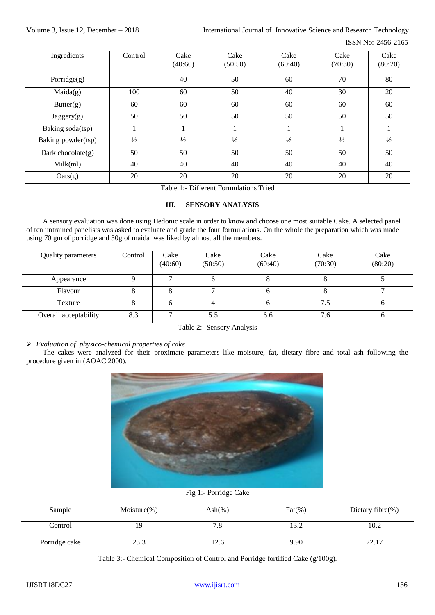### ISSN No:-2456-2165

| Ingredients          | Control       | Cake<br>(40:60) | Cake<br>(50:50) | Cake<br>(60:40) | Cake<br>(70:30) | Cake<br>(80:20) |
|----------------------|---------------|-----------------|-----------------|-----------------|-----------------|-----------------|
| Porridge $(g)$       |               | 40              | 50              | 60              | 70              | 80              |
| Maida(g)             | 100           | 60              | 50              | 40              | 30              | 20              |
| Butter(g)            | 60            | 60              | 60              | 60              | 60              | 60              |
| Jagger(g)            | 50            | 50              | 50              | 50              | 50              | 50              |
| Baking soda(tsp)     |               |                 |                 |                 |                 |                 |
| Baking powder(tsp)   | $\frac{1}{2}$ | $\frac{1}{2}$   | $\frac{1}{2}$   | $\frac{1}{2}$   | $\frac{1}{2}$   | $\frac{1}{2}$   |
| Dark chocolate $(g)$ | 50            | 50              | 50              | 50              | 50              | 50              |
| Milk(ml)             | 40            | 40              | 40              | 40              | 40              | 40              |
| $\text{Oats}(g)$     | 20            | 20              | 20              | 20              | 20              | 20              |

Table 1:- Different Formulations Tried

# **III. SENSORY ANALYSIS**

A sensory evaluation was done using Hedonic scale in order to know and choose one most suitable Cake. A selected panel of ten untrained panelists was asked to evaluate and grade the four formulations. On the whole the preparation which was made using 70 gm of porridge and 30g of maida was liked by almost all the members.

| Quality parameters    | Control | Cake<br>(40:60) | Cake<br>(50:50)          | Cake<br>(60:40) | Cake<br>(70:30) | Cake<br>(80:20) |
|-----------------------|---------|-----------------|--------------------------|-----------------|-----------------|-----------------|
| Appearance            |         |                 | O                        |                 |                 |                 |
| Flavour               |         |                 | $\overline{\phantom{0}}$ |                 |                 |                 |
| Texture               |         |                 |                          |                 | 7.5             |                 |
| Overall acceptability | 8.3     | $\mathbf{r}$    | 5.5                      | 6.6             | 7.6             |                 |

## Table 2:- Sensory Analysis

# *Evaluation of physico-chemical properties of cake*

The cakes were analyzed for their proximate parameters like moisture, fat, dietary fibre and total ash following the procedure given in (AOAC 2000).



# Fig 1:- Porridge Cake

| Sample        | Moisture $(\%)$ | Ash $(\%)$ | $\text{Fat}(\%)$ | Dietary fibre(%) |
|---------------|-----------------|------------|------------------|------------------|
| Control       | 19              | ه. ا       | 13.2             | 10.2             |
| Porridge cake | 23.3            |            | 9.90             | າາ<br>44.1       |

Table 3:- Chemical Composition of Control and Porridge fortified Cake (g/100g).